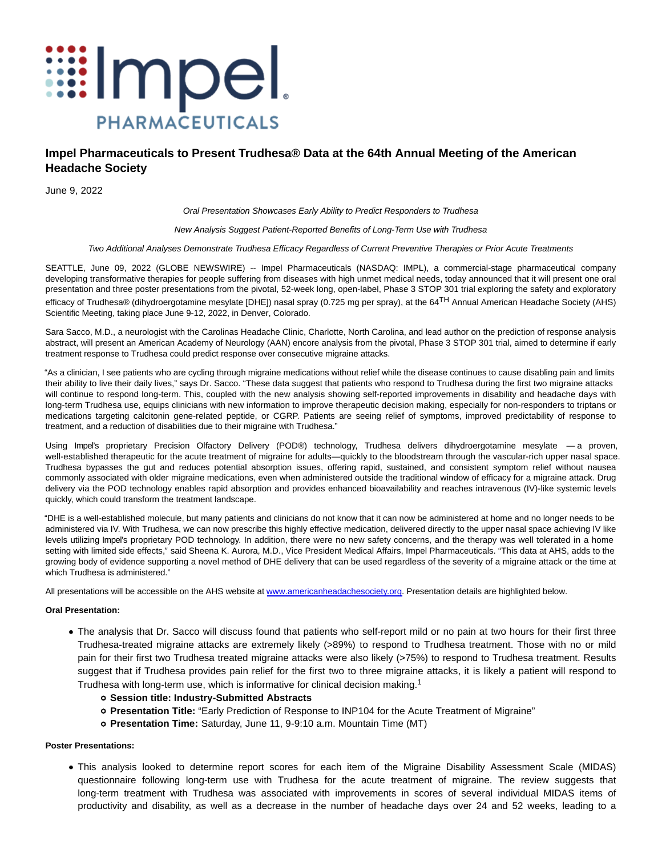

# **Impel Pharmaceuticals to Present Trudhesa® Data at the 64th Annual Meeting of the American Headache Society**

June 9, 2022

#### Oral Presentation Showcases Early Ability to Predict Responders to Trudhesa

#### New Analysis Suggest Patient-Reported Benefits of Long-Term Use with Trudhesa

Two Additional Analyses Demonstrate Trudhesa Efficacy Regardless of Current Preventive Therapies or Prior Acute Treatments

SEATTLE, June 09, 2022 (GLOBE NEWSWIRE) -- Impel Pharmaceuticals (NASDAQ: IMPL), a commercial-stage pharmaceutical company developing transformative therapies for people suffering from diseases with high unmet medical needs, today announced that it will present one oral presentation and three poster presentations from the pivotal, 52-week long, open-label, Phase 3 STOP 301 trial exploring the safety and exploratory efficacy of Trudhesa® (dihydroergotamine mesylate [DHE]) nasal spray (0.725 mg per spray), at the 64<sup>TH</sup> Annual American Headache Society (AHS) Scientific Meeting, taking place June 9-12, 2022, in Denver, Colorado.

Sara Sacco, M.D., a neurologist with the Carolinas Headache Clinic, Charlotte, North Carolina, and lead author on the prediction of response analysis abstract, will present an American Academy of Neurology (AAN) encore analysis from the pivotal, Phase 3 STOP 301 trial, aimed to determine if early treatment response to Trudhesa could predict response over consecutive migraine attacks.

"As a clinician, I see patients who are cycling through migraine medications without relief while the disease continues to cause disabling pain and limits their ability to live their daily lives," says Dr. Sacco. "These data suggest that patients who respond to Trudhesa during the first two migraine attacks will continue to respond long-term. This, coupled with the new analysis showing self-reported improvements in disability and headache days with long-term Trudhesa use, equips clinicians with new information to improve therapeutic decision making, especially for non-responders to triptans or medications targeting calcitonin gene-related peptide, or CGRP. Patients are seeing relief of symptoms, improved predictability of response to treatment, and a reduction of disabilities due to their migraine with Trudhesa."

Using Impel's proprietary Precision Olfactory Delivery (POD®) technology, Trudhesa delivers dihydroergotamine mesylate — a proven, well-established therapeutic for the acute treatment of migraine for adults—quickly to the bloodstream through the vascular-rich upper nasal space. Trudhesa bypasses the gut and reduces potential absorption issues, offering rapid, sustained, and consistent symptom relief without nausea commonly associated with older migraine medications, even when administered outside the traditional window of efficacy for a migraine attack. Drug delivery via the POD technology enables rapid absorption and provides enhanced bioavailability and reaches intravenous (IV)-like systemic levels quickly, which could transform the treatment landscape.

"DHE is a well-established molecule, but many patients and clinicians do not know that it can now be administered at home and no longer needs to be administered via IV. With Trudhesa, we can now prescribe this highly effective medication, delivered directly to the upper nasal space achieving IV like levels utilizing Impel's proprietary POD technology. In addition, there were no new safety concerns, and the therapy was well tolerated in a home setting with limited side effects," said Sheena K. Aurora, M.D., Vice President Medical Affairs, Impel Pharmaceuticals. "This data at AHS, adds to the growing body of evidence supporting a novel method of DHE delivery that can be used regardless of the severity of a migraine attack or the time at which Trudhesa is administered."

All presentations will be accessible on the AHS website at [www.americanheadachesociety.org.](https://www.globenewswire.com/Tracker?data=PUbgDeOuotEvTflB69XO4MIjibrm3A4oAAUwu2rVzz24enn-I3leXCw9Gi1tgjAm9kyVjPys6toJ_QO-oumysBBQO08DW7wGUWRmEJXpjOUoNzfBjbD7M_3F-w8FkL0R) Presentation details are highlighted below.

## **Oral Presentation:**

- The analysis that Dr. Sacco will discuss found that patients who self-report mild or no pain at two hours for their first three Trudhesa-treated migraine attacks are extremely likely (>89%) to respond to Trudhesa treatment. Those with no or mild pain for their first two Trudhesa treated migraine attacks were also likely (>75%) to respond to Trudhesa treatment. Results suggest that if Trudhesa provides pain relief for the first two to three migraine attacks, it is likely a patient will respond to Trudhesa with long-term use, which is informative for clinical decision making.<sup>1</sup>
	- **Session title: Industry-Submitted Abstracts**
	- **Presentation Title:** "Early Prediction of Response to INP104 for the Acute Treatment of Migraine"
	- **Presentation Time:** Saturday, June 11, 9-9:10 a.m. Mountain Time (MT)

## **Poster Presentations:**

This analysis looked to determine report scores for each item of the Migraine Disability Assessment Scale (MIDAS) questionnaire following long-term use with Trudhesa for the acute treatment of migraine. The review suggests that long-term treatment with Trudhesa was associated with improvements in scores of several individual MIDAS items of productivity and disability, as well as a decrease in the number of headache days over 24 and 52 weeks, leading to a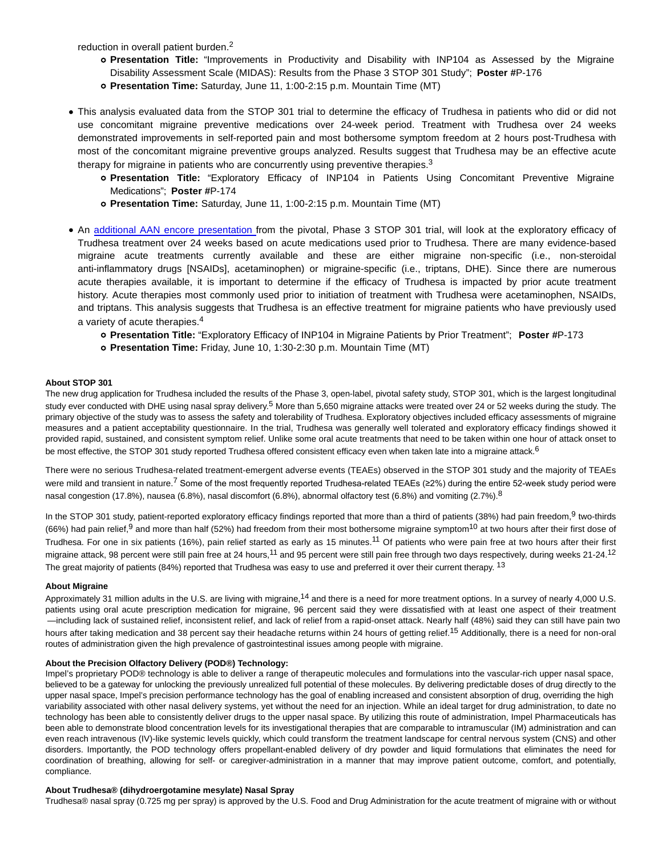reduction in overall patient burden.<sup>2</sup>

- **Presentation Title:** "Improvements in Productivity and Disability with INP104 as Assessed by the Migraine Disability Assessment Scale (MIDAS): Results from the Phase 3 STOP 301 Study"; **Poster #**P-176
- **Presentation Time:** Saturday, June 11, 1:00-2:15 p.m. Mountain Time (MT)
- This analysis evaluated data from the STOP 301 trial to determine the efficacy of Trudhesa in patients who did or did not use concomitant migraine preventive medications over 24-week period. Treatment with Trudhesa over 24 weeks demonstrated improvements in self-reported pain and most bothersome symptom freedom at 2 hours post-Trudhesa with most of the concomitant migraine preventive groups analyzed. Results suggest that Trudhesa may be an effective acute therapy for migraine in patients who are concurrently using preventive therapies.<sup>3</sup>
	- **Presentation Title:** "Exploratory Efficacy of INP104 in Patients Using Concomitant Preventive Migraine Medications"; **Poster #**P-174
	- **Presentation Time:** Saturday, June 11, 1:00-2:15 p.m. Mountain Time (MT)
- An [additional AAN encore presentation fr](https://index.mirasmart.com/aan2022/PDFfiles/AAN2022-002749.html)om the pivotal, Phase 3 STOP 301 trial, will look at the exploratory efficacy of Trudhesa treatment over 24 weeks based on acute medications used prior to Trudhesa. There are many evidence-based migraine acute treatments currently available and these are either migraine non-specific (i.e., non-steroidal anti-inflammatory drugs [NSAIDs], acetaminophen) or migraine-specific (i.e., triptans, DHE). Since there are numerous acute therapies available, it is important to determine if the efficacy of Trudhesa is impacted by prior acute treatment history. Acute therapies most commonly used prior to initiation of treatment with Trudhesa were acetaminophen, NSAIDs, and triptans. This analysis suggests that Trudhesa is an effective treatment for migraine patients who have previously used a variety of acute therapies.<sup>4</sup>
	- **Presentation Title:** "Exploratory Efficacy of INP104 in Migraine Patients by Prior Treatment"; **Poster #**P-173
	- **Presentation Time:** Friday, June 10, 1:30-2:30 p.m. Mountain Time (MT)

#### **About STOP 301**

The new drug application for Trudhesa included the results of the Phase 3, open-label, pivotal safety study, STOP 301, which is the largest longitudinal study ever conducted with DHE using nasal spray delivery.<sup>5</sup> More than 5,650 migraine attacks were treated over 24 or 52 weeks during the study. The primary objective of the study was to assess the safety and tolerability of Trudhesa. Exploratory objectives included efficacy assessments of migraine measures and a patient acceptability questionnaire. In the trial, Trudhesa was generally well tolerated and exploratory efficacy findings showed it provided rapid, sustained, and consistent symptom relief. Unlike some oral acute treatments that need to be taken within one hour of attack onset to be most effective, the STOP 301 study reported Trudhesa offered consistent efficacy even when taken late into a migraine attack.<sup>6</sup>

There were no serious Trudhesa-related treatment-emergent adverse events (TEAEs) observed in the STOP 301 study and the majority of TEAEs were mild and transient in nature.<sup>7</sup> Some of the most frequently reported Trudhesa-related TEAEs (≥2%) during the entire 52-week study period were nasal congestion (17.8%), nausea (6.8%), nasal discomfort (6.8%), abnormal olfactory test (6.8%) and vomiting (2.7%).<sup>8</sup>

In the STOP 301 study, patient-reported exploratory efficacy findings reported that more than a third of patients (38%) had pain freedom,  $9$  two-thirds (66%) had pain relief, 9 and more than half (52%) had freedom from their most bothersome migraine symptom<sup>10</sup> at two hours after their first dose of Trudhesa. For one in six patients (16%), pain relief started as early as 15 minutes.<sup>11</sup> Of patients who were pain free at two hours after their first migraine attack, 98 percent were still pain free at 24 hours,<sup>11</sup> and 95 percent were still pain free through two days respectively, during weeks 21-24.<sup>12</sup> The great majority of patients (84%) reported that Trudhesa was easy to use and preferred it over their current therapy. <sup>13</sup>

#### **About Migraine**

Approximately 31 million adults in the U.S. are living with migraine,<sup>14</sup> and there is a need for more treatment options. In a survey of nearly 4,000 U.S. patients using oral acute prescription medication for migraine, 96 percent said they were dissatisfied with at least one aspect of their treatment —including lack of sustained relief, inconsistent relief, and lack of relief from a rapid-onset attack. Nearly half (48%) said they can still have pain two hours after taking medication and 38 percent say their headache returns within 24 hours of getting relief.<sup>15</sup> Additionally, there is a need for non-oral routes of administration given the high prevalence of gastrointestinal issues among people with migraine.

#### **About the Precision Olfactory Delivery (POD®) Technology:**

Impel's proprietary POD® technology is able to deliver a range of therapeutic molecules and formulations into the vascular-rich upper nasal space, believed to be a gateway for unlocking the previously unrealized full potential of these molecules. By delivering predictable doses of drug directly to the upper nasal space, Impel's precision performance technology has the goal of enabling increased and consistent absorption of drug, overriding the high variability associated with other nasal delivery systems, yet without the need for an injection. While an ideal target for drug administration, to date no technology has been able to consistently deliver drugs to the upper nasal space. By utilizing this route of administration, Impel Pharmaceuticals has been able to demonstrate blood concentration levels for its investigational therapies that are comparable to intramuscular (IM) administration and can even reach intravenous (IV)-like systemic levels quickly, which could transform the treatment landscape for central nervous system (CNS) and other disorders. Importantly, the POD technology offers propellant-enabled delivery of dry powder and liquid formulations that eliminates the need for coordination of breathing, allowing for self- or caregiver-administration in a manner that may improve patient outcome, comfort, and potentially, compliance.

#### **About Trudhesa® (dihydroergotamine mesylate) Nasal Spray**

Trudhesa® nasal spray (0.725 mg per spray) is approved by the U.S. Food and Drug Administration for the acute treatment of migraine with or without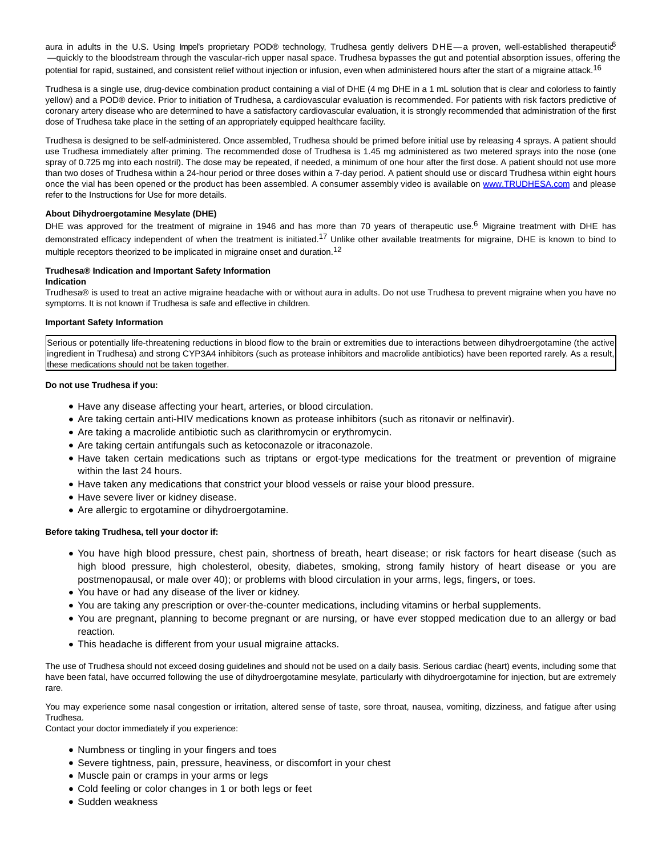aura in adults in the U.S. Using Impel's proprietary POD® technology, Trudhesa gently delivers DHE—a proven, well-established therapeutic $6$ —quickly to the bloodstream through the vascular-rich upper nasal space. Trudhesa bypasses the gut and potential absorption issues, offering the potential for rapid, sustained, and consistent relief without injection or infusion, even when administered hours after the start of a migraine attack.<sup>16</sup>

Trudhesa is a single use, drug-device combination product containing a vial of DHE (4 mg DHE in a 1 mL solution that is clear and colorless to faintly yellow) and a POD® device. Prior to initiation of Trudhesa, a cardiovascular evaluation is recommended. For patients with risk factors predictive of coronary artery disease who are determined to have a satisfactory cardiovascular evaluation, it is strongly recommended that administration of the first dose of Trudhesa take place in the setting of an appropriately equipped healthcare facility.

Trudhesa is designed to be self-administered. Once assembled, Trudhesa should be primed before initial use by releasing 4 sprays. A patient should use Trudhesa immediately after priming. The recommended dose of Trudhesa is 1.45 mg administered as two metered sprays into the nose (one spray of 0.725 mg into each nostril). The dose may be repeated, if needed, a minimum of one hour after the first dose. A patient should not use more than two doses of Trudhesa within a 24-hour period or three doses within a 7-day period. A patient should use or discard Trudhesa within eight hours once the vial has been opened or the product has been assembled. A consumer assembly video is available on [www.TRUDHESA.com](https://www.globenewswire.com/Tracker?data=gIPYnf5ERlDJNICdeN1ar8B6Df9w97uYpxRVj7f2qW0yM8FKOdywtQcHtkfvNHf9jSMWlXBA3pthZitydfPFqg==) and please refer to the Instructions for Use for more details.

## **About Dihydroergotamine Mesylate (DHE)**

DHE was approved for the treatment of migraine in 1946 and has more than 70 years of therapeutic use.<sup>6</sup> Migraine treatment with DHE has demonstrated efficacy independent of when the treatment is initiated.<sup>17</sup> Unlike other available treatments for migraine, DHE is known to bind to multiple receptors theorized to be implicated in migraine onset and duration.<sup>12</sup>

## **Trudhesa® Indication and Important Safety Information**

## **Indication**

Trudhesa® is used to treat an active migraine headache with or without aura in adults. Do not use Trudhesa to prevent migraine when you have no symptoms. It is not known if Trudhesa is safe and effective in children.

#### **Important Safety Information**

Serious or potentially life-threatening reductions in blood flow to the brain or extremities due to interactions between dihydroergotamine (the active ingredient in Trudhesa) and strong CYP3A4 inhibitors (such as protease inhibitors and macrolide antibiotics) have been reported rarely. As a result these medications should not be taken together.

#### **Do not use Trudhesa if you:**

- Have any disease affecting your heart, arteries, or blood circulation.
- Are taking certain anti-HIV medications known as protease inhibitors (such as ritonavir or nelfinavir).
- Are taking a macrolide antibiotic such as clarithromycin or erythromycin.
- Are taking certain antifungals such as ketoconazole or itraconazole.
- Have taken certain medications such as triptans or ergot-type medications for the treatment or prevention of migraine within the last 24 hours.
- Have taken any medications that constrict your blood vessels or raise your blood pressure.
- Have severe liver or kidney disease.
- Are allergic to ergotamine or dihydroergotamine.

## **Before taking Trudhesa, tell your doctor if:**

- You have high blood pressure, chest pain, shortness of breath, heart disease; or risk factors for heart disease (such as high blood pressure, high cholesterol, obesity, diabetes, smoking, strong family history of heart disease or you are postmenopausal, or male over 40); or problems with blood circulation in your arms, legs, fingers, or toes.
- You have or had any disease of the liver or kidney.
- You are taking any prescription or over-the-counter medications, including vitamins or herbal supplements.
- You are pregnant, planning to become pregnant or are nursing, or have ever stopped medication due to an allergy or bad reaction.
- This headache is different from your usual migraine attacks.

The use of Trudhesa should not exceed dosing guidelines and should not be used on a daily basis. Serious cardiac (heart) events, including some that have been fatal, have occurred following the use of dihydroergotamine mesylate, particularly with dihydroergotamine for injection, but are extremely rare.

You may experience some nasal congestion or irritation, altered sense of taste, sore throat, nausea, vomiting, dizziness, and fatigue after using Trudhesa.

Contact your doctor immediately if you experience:

- Numbness or tingling in your fingers and toes
- Severe tightness, pain, pressure, heaviness, or discomfort in your chest
- Muscle pain or cramps in your arms or legs
- Cold feeling or color changes in 1 or both legs or feet
- Sudden weakness